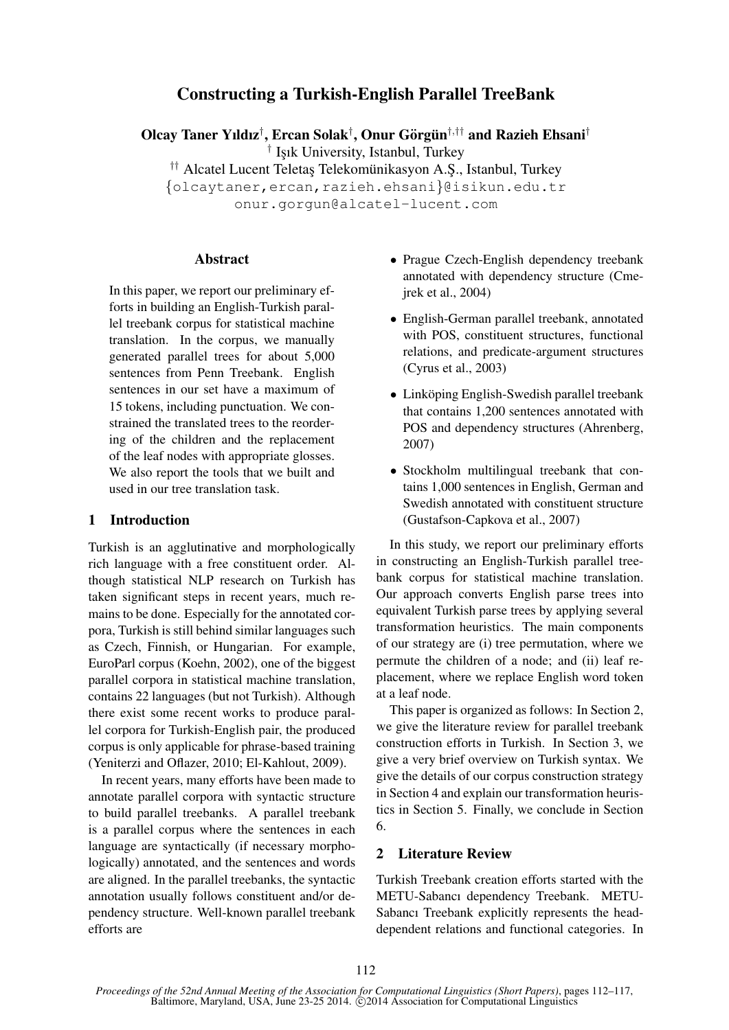# Constructing a Turkish-English Parallel TreeBank

Olcay Taner Yıldız<sup>†</sup>, Ercan Solak<sup>†</sup>, Onur Görgün<sup>†,††</sup> and Razieh Ehsani<sup>†</sup>

<sup>†</sup> Işık University, Istanbul, Turkey

†† Alcatel Lucent Teletas Telekomünikasyon A.S., Istanbul, Turkey

{olcaytaner,ercan,razieh.ehsani}@isikun.edu.tr onur.gorgun@alcatel-lucent.com

## Abstract

In this paper, we report our preliminary efforts in building an English-Turkish parallel treebank corpus for statistical machine translation. In the corpus, we manually generated parallel trees for about 5,000 sentences from Penn Treebank. English sentences in our set have a maximum of 15 tokens, including punctuation. We constrained the translated trees to the reordering of the children and the replacement of the leaf nodes with appropriate glosses. We also report the tools that we built and used in our tree translation task.

## 1 Introduction

Turkish is an agglutinative and morphologically rich language with a free constituent order. Although statistical NLP research on Turkish has taken significant steps in recent years, much remains to be done. Especially for the annotated corpora, Turkish is still behind similar languages such as Czech, Finnish, or Hungarian. For example, EuroParl corpus (Koehn, 2002), one of the biggest parallel corpora in statistical machine translation, contains 22 languages (but not Turkish). Although there exist some recent works to produce parallel corpora for Turkish-English pair, the produced corpus is only applicable for phrase-based training (Yeniterzi and Oflazer, 2010; El-Kahlout, 2009).

In recent years, many efforts have been made to annotate parallel corpora with syntactic structure to build parallel treebanks. A parallel treebank is a parallel corpus where the sentences in each language are syntactically (if necessary morphologically) annotated, and the sentences and words are aligned. In the parallel treebanks, the syntactic annotation usually follows constituent and/or dependency structure. Well-known parallel treebank efforts are

- Prague Czech-English dependency treebank annotated with dependency structure (Cmejrek et al., 2004)
- English-German parallel treebank, annotated with POS, constituent structures, functional relations, and predicate-argument structures (Cyrus et al., 2003)
- Linköping English-Swedish parallel treebank that contains 1,200 sentences annotated with POS and dependency structures (Ahrenberg, 2007)
- Stockholm multilingual treebank that contains 1,000 sentences in English, German and Swedish annotated with constituent structure (Gustafson-Capkova et al., 2007)

In this study, we report our preliminary efforts in constructing an English-Turkish parallel treebank corpus for statistical machine translation. Our approach converts English parse trees into equivalent Turkish parse trees by applying several transformation heuristics. The main components of our strategy are (i) tree permutation, where we permute the children of a node; and (ii) leaf replacement, where we replace English word token at a leaf node.

This paper is organized as follows: In Section 2, we give the literature review for parallel treebank construction efforts in Turkish. In Section 3, we give a very brief overview on Turkish syntax. We give the details of our corpus construction strategy in Section 4 and explain our transformation heuristics in Section 5. Finally, we conclude in Section 6.

## 2 Literature Review

Turkish Treebank creation efforts started with the METU-Sabancı dependency Treebank. METU-Sabancı Treebank explicitly represents the headdependent relations and functional categories. In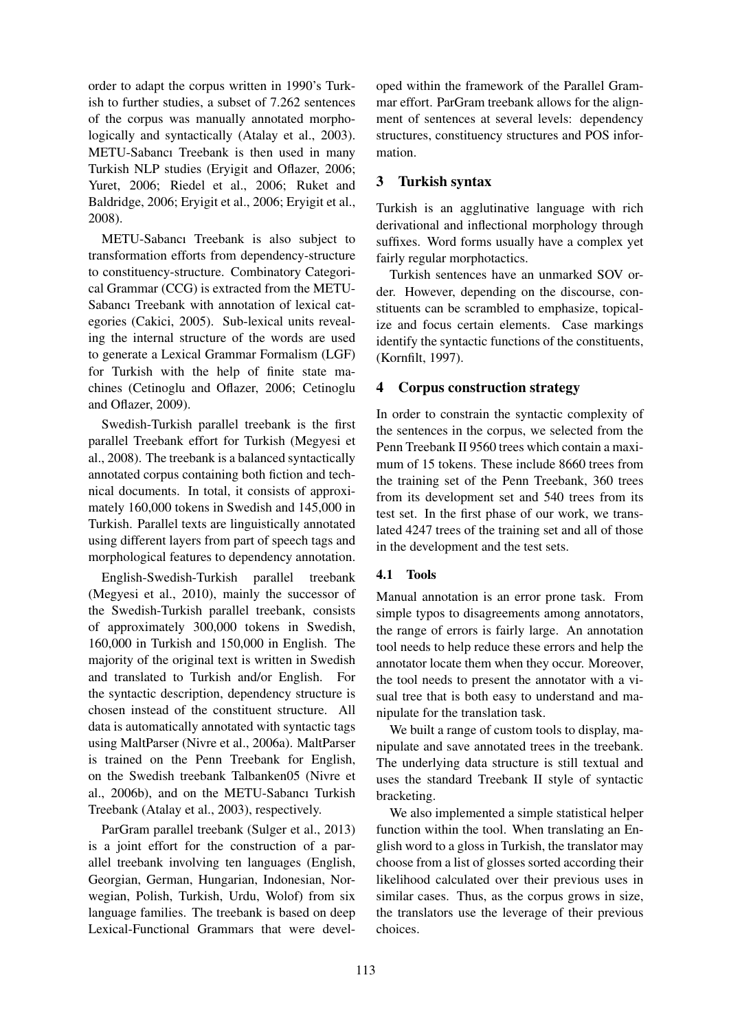order to adapt the corpus written in 1990's Turkish to further studies, a subset of 7.262 sentences of the corpus was manually annotated morphologically and syntactically (Atalay et al., 2003). METU-Sabancı Treebank is then used in many Turkish NLP studies (Eryigit and Oflazer, 2006; Yuret, 2006; Riedel et al., 2006; Ruket and Baldridge, 2006; Eryigit et al., 2006; Eryigit et al., 2008).

METU-Sabancı Treebank is also subject to transformation efforts from dependency-structure to constituency-structure. Combinatory Categorical Grammar (CCG) is extracted from the METU-Sabancı Treebank with annotation of lexical categories (Cakici, 2005). Sub-lexical units revealing the internal structure of the words are used to generate a Lexical Grammar Formalism (LGF) for Turkish with the help of finite state machines (Cetinoglu and Oflazer, 2006; Cetinoglu and Oflazer, 2009).

Swedish-Turkish parallel treebank is the first parallel Treebank effort for Turkish (Megyesi et al., 2008). The treebank is a balanced syntactically annotated corpus containing both fiction and technical documents. In total, it consists of approximately 160,000 tokens in Swedish and 145,000 in Turkish. Parallel texts are linguistically annotated using different layers from part of speech tags and morphological features to dependency annotation.

English-Swedish-Turkish parallel treebank (Megyesi et al., 2010), mainly the successor of the Swedish-Turkish parallel treebank, consists of approximately 300,000 tokens in Swedish, 160,000 in Turkish and 150,000 in English. The majority of the original text is written in Swedish and translated to Turkish and/or English. For the syntactic description, dependency structure is chosen instead of the constituent structure. All data is automatically annotated with syntactic tags using MaltParser (Nivre et al., 2006a). MaltParser is trained on the Penn Treebank for English, on the Swedish treebank Talbanken05 (Nivre et al., 2006b), and on the METU-Sabancı Turkish Treebank (Atalay et al., 2003), respectively.

ParGram parallel treebank (Sulger et al., 2013) is a joint effort for the construction of a parallel treebank involving ten languages (English, Georgian, German, Hungarian, Indonesian, Norwegian, Polish, Turkish, Urdu, Wolof) from six language families. The treebank is based on deep Lexical-Functional Grammars that were developed within the framework of the Parallel Grammar effort. ParGram treebank allows for the alignment of sentences at several levels: dependency structures, constituency structures and POS information.

## 3 Turkish syntax

Turkish is an agglutinative language with rich derivational and inflectional morphology through suffixes. Word forms usually have a complex yet fairly regular morphotactics.

Turkish sentences have an unmarked SOV order. However, depending on the discourse, constituents can be scrambled to emphasize, topicalize and focus certain elements. Case markings identify the syntactic functions of the constituents, (Kornfilt, 1997).

## 4 Corpus construction strategy

In order to constrain the syntactic complexity of the sentences in the corpus, we selected from the Penn Treebank II 9560 trees which contain a maximum of 15 tokens. These include 8660 trees from the training set of the Penn Treebank, 360 trees from its development set and 540 trees from its test set. In the first phase of our work, we translated 4247 trees of the training set and all of those in the development and the test sets.

## 4.1 Tools

Manual annotation is an error prone task. From simple typos to disagreements among annotators, the range of errors is fairly large. An annotation tool needs to help reduce these errors and help the annotator locate them when they occur. Moreover, the tool needs to present the annotator with a visual tree that is both easy to understand and manipulate for the translation task.

We built a range of custom tools to display, manipulate and save annotated trees in the treebank. The underlying data structure is still textual and uses the standard Treebank II style of syntactic bracketing.

We also implemented a simple statistical helper function within the tool. When translating an English word to a gloss in Turkish, the translator may choose from a list of glosses sorted according their likelihood calculated over their previous uses in similar cases. Thus, as the corpus grows in size, the translators use the leverage of their previous choices.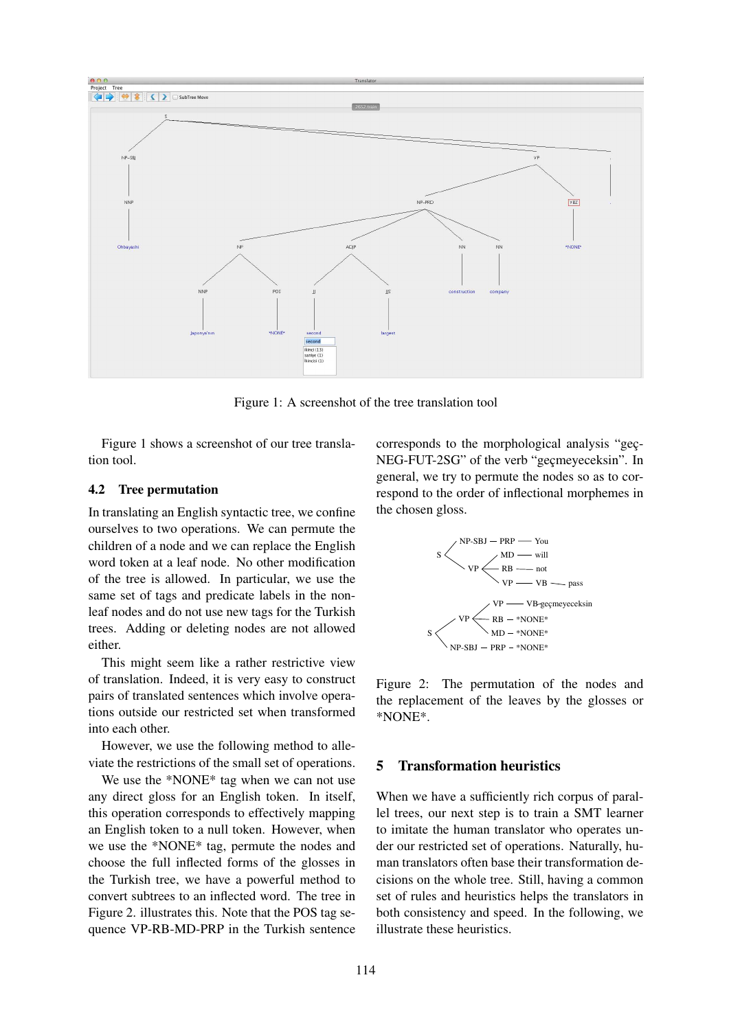

Figure 1: A screenshot of the tree translation tool

Figure 1 shows a screenshot of our tree translation tool.

#### 4.2 Tree permutation

In translating an English syntactic tree, we confine ourselves to two operations. We can permute the children of a node and we can replace the English word token at a leaf node. No other modification of the tree is allowed. In particular, we use the same set of tags and predicate labels in the nonleaf nodes and do not use new tags for the Turkish trees. Adding or deleting nodes are not allowed either.

This might seem like a rather restrictive view of translation. Indeed, it is very easy to construct pairs of translated sentences which involve operations outside our restricted set when transformed into each other.

However, we use the following method to alleviate the restrictions of the small set of operations.

We use the \*NONE\* tag when we can not use any direct gloss for an English token. In itself, this operation corresponds to effectively mapping an English token to a null token. However, when we use the \*NONE\* tag, permute the nodes and choose the full inflected forms of the glosses in the Turkish tree, we have a powerful method to convert subtrees to an inflected word. The tree in Figure 2. illustrates this. Note that the POS tag sequence VP-RB-MD-PRP in the Turkish sentence corresponds to the morphological analysis "gec-NEG-FUT-2SG" of the verb "gecmeyeceksin". In general, we try to permute the nodes so as to correspond to the order of inflectional morphemes in the chosen gloss.



Figure 2: The permutation of the nodes and the replacement of the leaves by the glosses or \*NONE\*.

## 5 Transformation heuristics

When we have a sufficiently rich corpus of parallel trees, our next step is to train a SMT learner to imitate the human translator who operates under our restricted set of operations. Naturally, human translators often base their transformation decisions on the whole tree. Still, having a common set of rules and heuristics helps the translators in both consistency and speed. In the following, we illustrate these heuristics.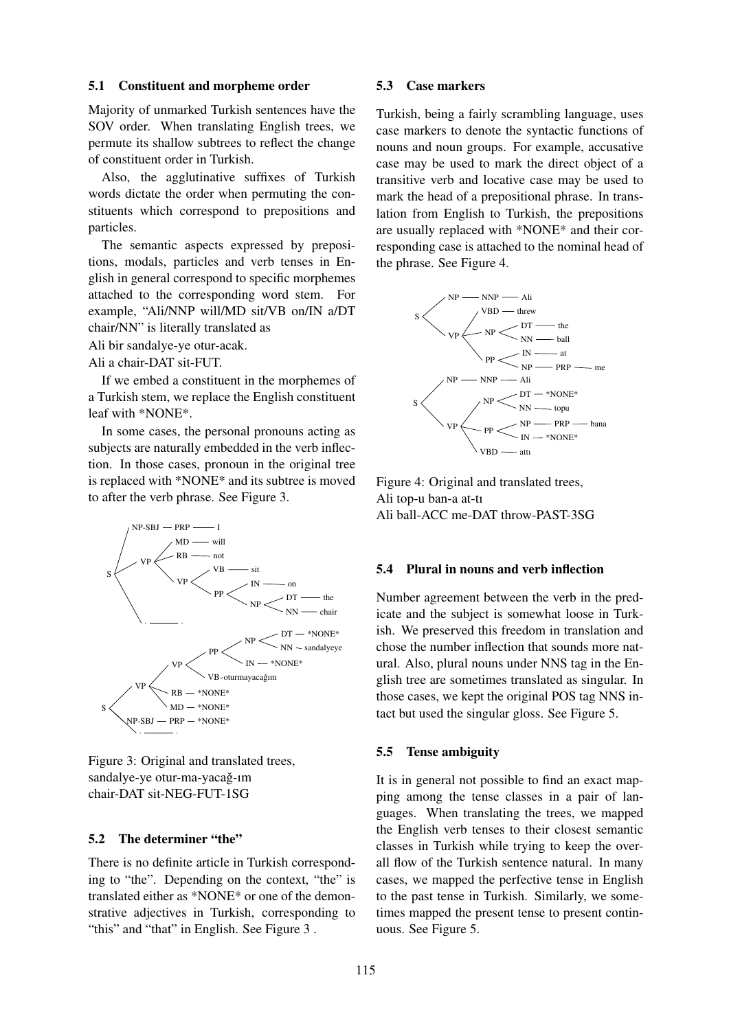#### 5.1 Constituent and morpheme order

Majority of unmarked Turkish sentences have the SOV order. When translating English trees, we permute its shallow subtrees to reflect the change of constituent order in Turkish.

Also, the agglutinative suffixes of Turkish words dictate the order when permuting the constituents which correspond to prepositions and particles.

The semantic aspects expressed by prepositions, modals, particles and verb tenses in English in general correspond to specific morphemes attached to the corresponding word stem. For example, "Ali/NNP will/MD sit/VB on/IN a/DT chair/NN" is literally translated as

Ali bir sandalye-ye otur-acak.

Ali a chair-DAT sit-FUT.

If we embed a constituent in the morphemes of a Turkish stem, we replace the English constituent leaf with \*NONE\*.

In some cases, the personal pronouns acting as subjects are naturally embedded in the verb inflection. In those cases, pronoun in the original tree is replaced with \*NONE\* and its subtree is moved to after the verb phrase. See Figure 3.



Figure 3: Original and translated trees, sandalye-ye otur-ma-yacağ-ım chair-DAT sit-NEG-FUT-1SG

## 5.2 The determiner "the"

There is no definite article in Turkish corresponding to "the". Depending on the context, "the" is translated either as \*NONE\* or one of the demonstrative adjectives in Turkish, corresponding to "this" and "that" in English. See Figure 3 .

### 5.3 Case markers

Turkish, being a fairly scrambling language, uses case markers to denote the syntactic functions of nouns and noun groups. For example, accusative case may be used to mark the direct object of a transitive verb and locative case may be used to mark the head of a prepositional phrase. In translation from English to Turkish, the prepositions are usually replaced with \*NONE\* and their corresponding case is attached to the nominal head of the phrase. See Figure 4.



Figure 4: Original and translated trees, Ali top-u ban-a at-tı Ali ball-ACC me-DAT throw-PAST-3SG

#### 5.4 Plural in nouns and verb inflection

Number agreement between the verb in the predicate and the subject is somewhat loose in Turkish. We preserved this freedom in translation and chose the number inflection that sounds more natural. Also, plural nouns under NNS tag in the English tree are sometimes translated as singular. In those cases, we kept the original POS tag NNS intact but used the singular gloss. See Figure 5.

#### 5.5 Tense ambiguity

It is in general not possible to find an exact mapping among the tense classes in a pair of languages. When translating the trees, we mapped the English verb tenses to their closest semantic classes in Turkish while trying to keep the overall flow of the Turkish sentence natural. In many cases, we mapped the perfective tense in English to the past tense in Turkish. Similarly, we sometimes mapped the present tense to present continuous. See Figure 5.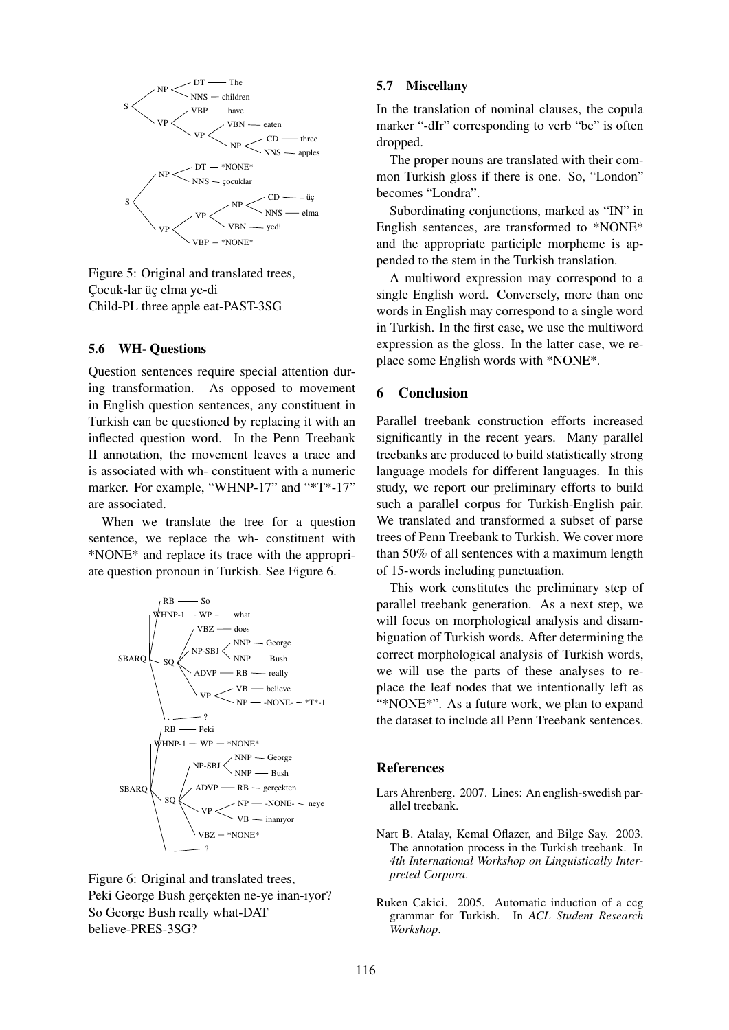

Figure 5: Original and translated trees, Cocuk-lar üç elma ye-di Child-PL three apple eat-PAST-3SG

#### 5.6 WH- Questions

Question sentences require special attention during transformation. As opposed to movement in English question sentences, any constituent in Turkish can be questioned by replacing it with an inflected question word. In the Penn Treebank II annotation, the movement leaves a trace and is associated with wh- constituent with a numeric marker. For example, "WHNP-17" and "\*T\*-17" are associated.

When we translate the tree for a question sentence, we replace the wh- constituent with \*NONE\* and replace its trace with the appropriate question pronoun in Turkish. See Figure 6.



Figure 6: Original and translated trees, Peki George Bush gerçekten ne-ye inan-ıyor? So George Bush really what-DAT believe-PRES-3SG?

### 5.7 Miscellany

In the translation of nominal clauses, the copula marker "-dIr" corresponding to verb "be" is often dropped.

The proper nouns are translated with their common Turkish gloss if there is one. So, "London" becomes "Londra".

Subordinating conjunctions, marked as "IN" in English sentences, are transformed to \*NONE\* and the appropriate participle morpheme is appended to the stem in the Turkish translation.

A multiword expression may correspond to a single English word. Conversely, more than one words in English may correspond to a single word in Turkish. In the first case, we use the multiword expression as the gloss. In the latter case, we replace some English words with \*NONE\*.

#### 6 Conclusion

Parallel treebank construction efforts increased significantly in the recent years. Many parallel treebanks are produced to build statistically strong language models for different languages. In this study, we report our preliminary efforts to build such a parallel corpus for Turkish-English pair. We translated and transformed a subset of parse trees of Penn Treebank to Turkish. We cover more than 50% of all sentences with a maximum length of 15-words including punctuation.

This work constitutes the preliminary step of parallel treebank generation. As a next step, we will focus on morphological analysis and disambiguation of Turkish words. After determining the correct morphological analysis of Turkish words, we will use the parts of these analyses to replace the leaf nodes that we intentionally left as "\*NONE\*". As a future work, we plan to expand the dataset to include all Penn Treebank sentences.

#### References

- Lars Ahrenberg. 2007. Lines: An english-swedish parallel treebank.
- Nart B. Atalay, Kemal Oflazer, and Bilge Say. 2003. The annotation process in the Turkish treebank. In *4th International Workshop on Linguistically Interpreted Corpora*.
- Ruken Cakici. 2005. Automatic induction of a ccg grammar for Turkish. In *ACL Student Research Workshop*.